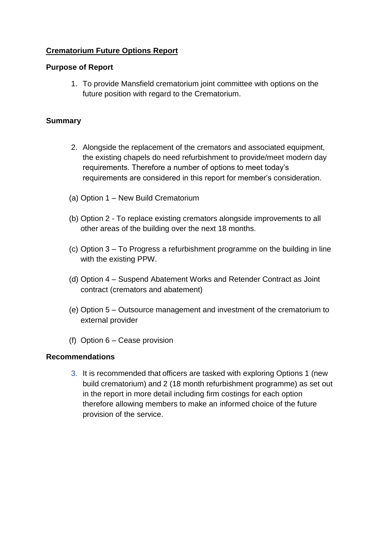# **Crematorium Future Options Report**

## **Purpose of Report**

1. To provide Mansfield crematorium joint committee with options on the future position with regard to the Crematorium.

### **Summary**

- 2. Alongside the replacement of the cremators and associated equipment, the existing chapels do need refurbishment to provide/meet modern day requirements. Therefore a number of options to meet today's requirements are considered in this report for member's consideration.
- (a) Option 1 New Build Crematorium
- (b) Option 2 To replace existing cremators alongside improvements to all other areas of the building over the next 18 months.
- (c) Option 3 To Progress a refurbishment programme on the building in line with the existing PPW.
- (d) Option 4 Suspend Abatement Works and Retender Contract as Joint contract (cremators and abatement)
- (e) Option 5 Outsource management and investment of the crematorium to external provider
- (f) Option 6 Cease provision

#### **Recommendations**

3. It is recommended that officers are tasked with exploring Options 1 (new build crematorium) and 2 (18 month refurbishment programme) as set out in the report in more detail including firm costings for each option therefore allowing members to make an informed choice of the future provision of the service.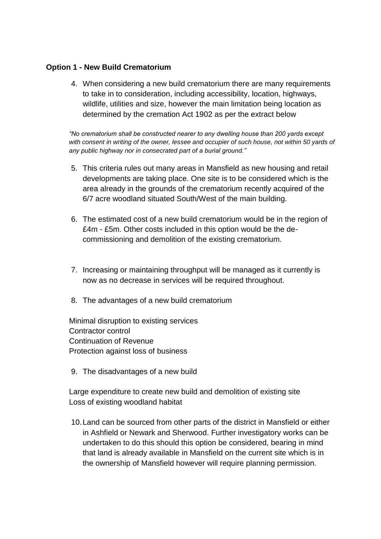### **Option 1 - New Build Crematorium**

4. When considering a new build crematorium there are many requirements to take in to consideration, including accessibility, location, highways, wildlife, utilities and size, however the main limitation being location as determined by the cremation Act 1902 as per the extract below

*"No crematorium shall be constructed nearer to any dwelling house than 200 yards except*  with consent in writing of the owner, lessee and occupier of such house, not within 50 yards of *any public highway nor in consecrated part of a burial ground."*

- 5. This criteria rules out many areas in Mansfield as new housing and retail developments are taking place. One site is to be considered which is the area already in the grounds of the crematorium recently acquired of the 6/7 acre woodland situated South/West of the main building.
- 6. The estimated cost of a new build crematorium would be in the region of £4m - £5m. Other costs included in this option would be the decommissioning and demolition of the existing crematorium.
- 7. Increasing or maintaining throughput will be managed as it currently is now as no decrease in services will be required throughout.
- 8. The advantages of a new build crematorium

Minimal disruption to existing services Contractor control Continuation of Revenue Protection against loss of business

9. The disadvantages of a new build

Large expenditure to create new build and demolition of existing site Loss of existing woodland habitat

10.Land can be sourced from other parts of the district in Mansfield or either in Ashfield or Newark and Sherwood. Further investigatory works can be undertaken to do this should this option be considered, bearing in mind that land is already available in Mansfield on the current site which is in the ownership of Mansfield however will require planning permission.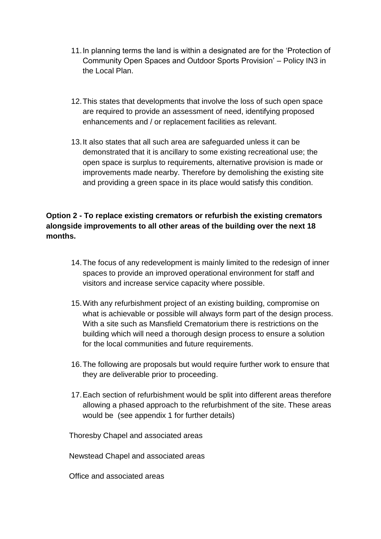- 11.In planning terms the land is within a designated are for the 'Protection of Community Open Spaces and Outdoor Sports Provision' – Policy IN3 in the Local Plan.
- 12.This states that developments that involve the loss of such open space are required to provide an assessment of need, identifying proposed enhancements and / or replacement facilities as relevant.
- 13.It also states that all such area are safeguarded unless it can be demonstrated that it is ancillary to some existing recreational use; the open space is surplus to requirements, alternative provision is made or improvements made nearby. Therefore by demolishing the existing site and providing a green space in its place would satisfy this condition.

# **Option 2 - To replace existing cremators or refurbish the existing cremators alongside improvements to all other areas of the building over the next 18 months.**

- 14.The focus of any redevelopment is mainly limited to the redesign of inner spaces to provide an improved operational environment for staff and visitors and increase service capacity where possible.
- 15.With any refurbishment project of an existing building, compromise on what is achievable or possible will always form part of the design process. With a site such as Mansfield Crematorium there is restrictions on the building which will need a thorough design process to ensure a solution for the local communities and future requirements.
- 16.The following are proposals but would require further work to ensure that they are deliverable prior to proceeding.
- 17.Each section of refurbishment would be split into different areas therefore allowing a phased approach to the refurbishment of the site. These areas would be (see appendix 1 for further details)

Thoresby Chapel and associated areas

Newstead Chapel and associated areas

Office and associated areas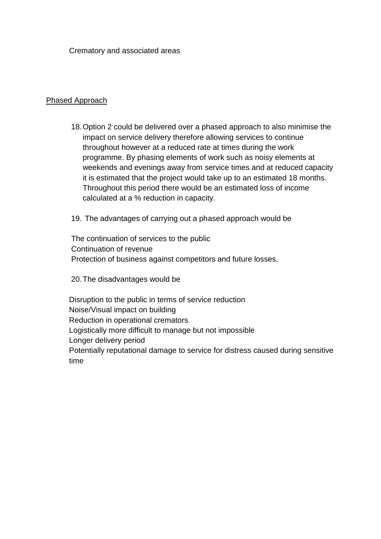Crematory and associated areas

### Phased Approach

18.Option 2 could be delivered over a phased approach to also minimise the impact on service delivery therefore allowing services to continue throughout however at a reduced rate at times during the work programme. By phasing elements of work such as noisy elements at weekends and evenings away from service times and at reduced capacity it is estimated that the project would take up to an estimated 18 months. Throughout this period there would be an estimated loss of income calculated at a % reduction in capacity.

19. The advantages of carrying out a phased approach would be

The continuation of services to the public Continuation of revenue Protection of business against competitors and future losses.

20.The disadvantages would be

Disruption to the public in terms of service reduction Noise/Visual impact on building Reduction in operational cremators Logistically more difficult to manage but not impossible Longer delivery period Potentially reputational damage to service for distress caused during sensitive time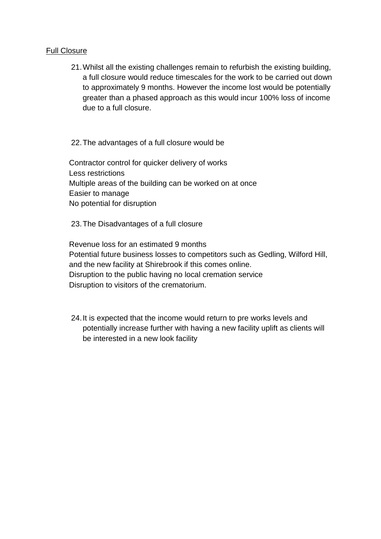#### Full Closure

21.Whilst all the existing challenges remain to refurbish the existing building, a full closure would reduce timescales for the work to be carried out down to approximately 9 months. However the income lost would be potentially greater than a phased approach as this would incur 100% loss of income due to a full closure.

22.The advantages of a full closure would be

Contractor control for quicker delivery of works Less restrictions Multiple areas of the building can be worked on at once Easier to manage No potential for disruption

23.The Disadvantages of a full closure

Revenue loss for an estimated 9 months Potential future business losses to competitors such as Gedling, Wilford Hill, and the new facility at Shirebrook if this comes online. Disruption to the public having no local cremation service Disruption to visitors of the crematorium.

24.It is expected that the income would return to pre works levels and potentially increase further with having a new facility uplift as clients will be interested in a new look facility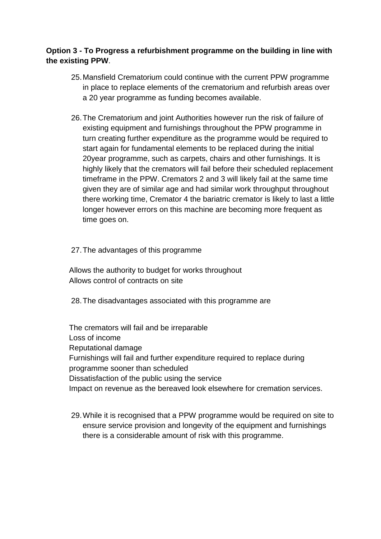# **Option 3 - To Progress a refurbishment programme on the building in line with the existing PPW**.

- 25.Mansfield Crematorium could continue with the current PPW programme in place to replace elements of the crematorium and refurbish areas over a 20 year programme as funding becomes available.
- 26.The Crematorium and joint Authorities however run the risk of failure of existing equipment and furnishings throughout the PPW programme in turn creating further expenditure as the programme would be required to start again for fundamental elements to be replaced during the initial 20year programme, such as carpets, chairs and other furnishings. It is highly likely that the cremators will fail before their scheduled replacement timeframe in the PPW. Cremators 2 and 3 will likely fail at the same time given they are of similar age and had similar work throughput throughout there working time, Cremator 4 the bariatric cremator is likely to last a little longer however errors on this machine are becoming more frequent as time goes on.

### 27.The advantages of this programme

Allows the authority to budget for works throughout Allows control of contracts on site

28.The disadvantages associated with this programme are

The cremators will fail and be irreparable Loss of income Reputational damage Furnishings will fail and further expenditure required to replace during programme sooner than scheduled Dissatisfaction of the public using the service Impact on revenue as the bereaved look elsewhere for cremation services.

29.While it is recognised that a PPW programme would be required on site to ensure service provision and longevity of the equipment and furnishings there is a considerable amount of risk with this programme.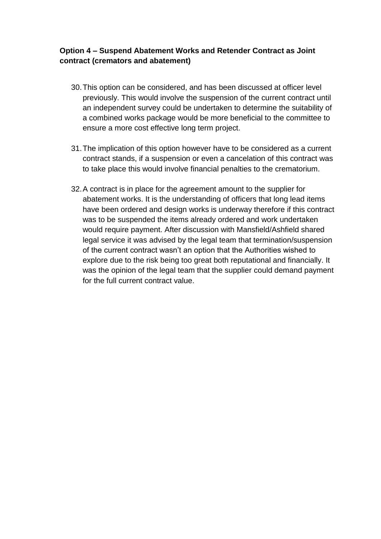# **Option 4 – Suspend Abatement Works and Retender Contract as Joint contract (cremators and abatement)**

- 30.This option can be considered, and has been discussed at officer level previously. This would involve the suspension of the current contract until an independent survey could be undertaken to determine the suitability of a combined works package would be more beneficial to the committee to ensure a more cost effective long term project.
- 31.The implication of this option however have to be considered as a current contract stands, if a suspension or even a cancelation of this contract was to take place this would involve financial penalties to the crematorium.
- 32.A contract is in place for the agreement amount to the supplier for abatement works. It is the understanding of officers that long lead items have been ordered and design works is underway therefore if this contract was to be suspended the items already ordered and work undertaken would require payment. After discussion with Mansfield/Ashfield shared legal service it was advised by the legal team that termination/suspension of the current contract wasn't an option that the Authorities wished to explore due to the risk being too great both reputational and financially. It was the opinion of the legal team that the supplier could demand payment for the full current contract value.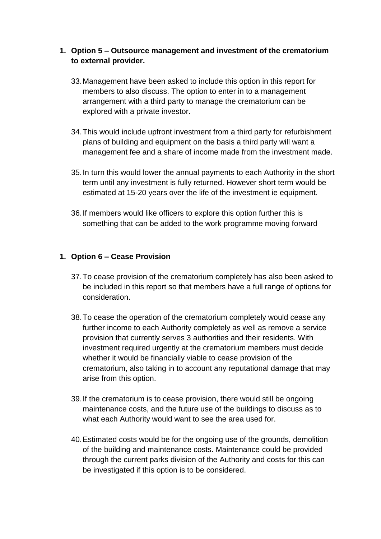# **1. Option 5 – Outsource management and investment of the crematorium to external provider.**

- 33.Management have been asked to include this option in this report for members to also discuss. The option to enter in to a management arrangement with a third party to manage the crematorium can be explored with a private investor.
- 34.This would include upfront investment from a third party for refurbishment plans of building and equipment on the basis a third party will want a management fee and a share of income made from the investment made.
- 35.In turn this would lower the annual payments to each Authority in the short term until any investment is fully returned. However short term would be estimated at 15-20 years over the life of the investment ie equipment.
- 36.If members would like officers to explore this option further this is something that can be added to the work programme moving forward

# **1. Option 6 – Cease Provision**

- 37.To cease provision of the crematorium completely has also been asked to be included in this report so that members have a full range of options for consideration.
- 38.To cease the operation of the crematorium completely would cease any further income to each Authority completely as well as remove a service provision that currently serves 3 authorities and their residents. With investment required urgently at the crematorium members must decide whether it would be financially viable to cease provision of the crematorium, also taking in to account any reputational damage that may arise from this option.
- 39.If the crematorium is to cease provision, there would still be ongoing maintenance costs, and the future use of the buildings to discuss as to what each Authority would want to see the area used for.
- 40.Estimated costs would be for the ongoing use of the grounds, demolition of the building and maintenance costs. Maintenance could be provided through the current parks division of the Authority and costs for this can be investigated if this option is to be considered.